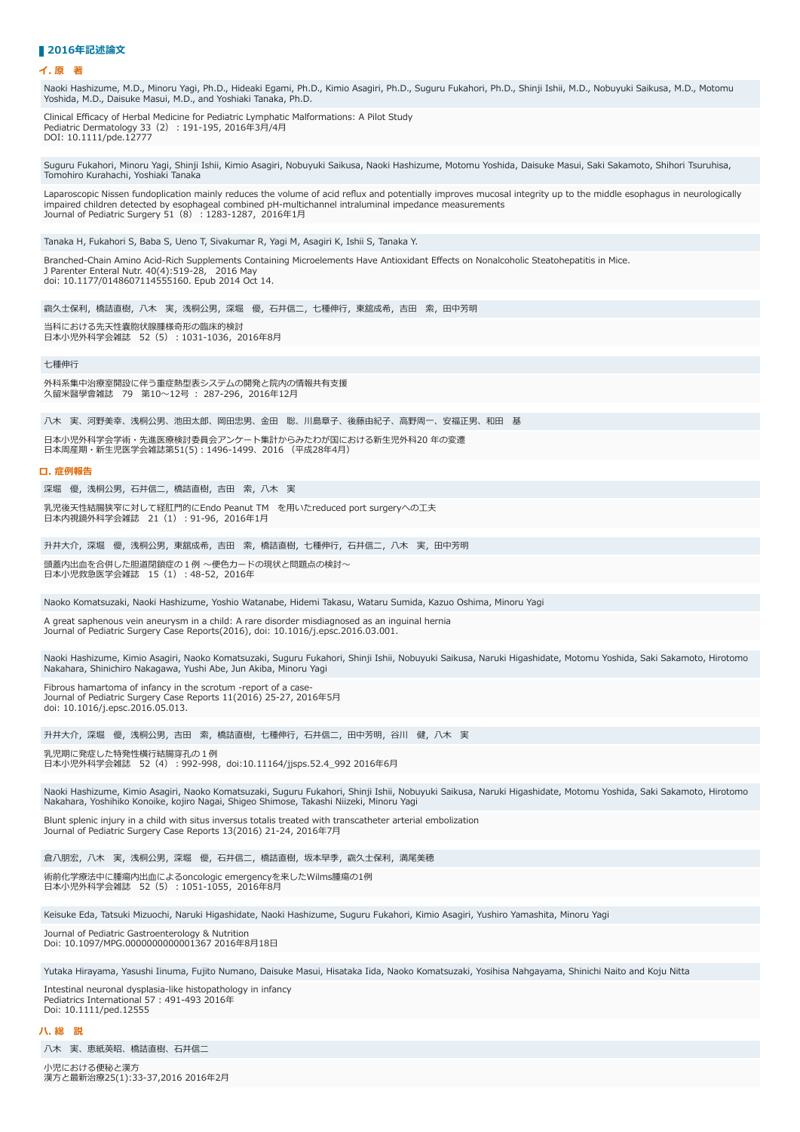## ■2016年記述論**文**

## **イ. 原 著**

Naoki Hashizume, M.D., Minoru Yagi, Ph.D., Hideaki Egami, Ph.D., Kimio Asagiri, Ph.D., Suguru Fukahori, Ph.D., Shinji Ishii, M.D., Nobuyuki Saikusa, M.D., Motomu Yoshida, M.D., Daisuke Masui, M.D., and Yoshiaki Tanaka, Ph.D.

Clinical Efficacy of Herbal Medicine for Pediatric Lymphatic Malformations: A Pilot Study Pediatric Dermatology 33 (2) : 191-195, 2016年3月/4月 DOI: 10.1111/pde.12777

Suguru Fukahori, Minoru Yagi, Shinji Ishii, Kimio Asagiri, Nobuyuki Saikusa, Naoki Hashizume, Motomu Yoshida, Daisuke Masui, Saki Sakamoto, Shihori Tsuruhisa, Tomohiro Kurahachi, Yoshiaki Tanaka

Laparoscopic Nissen fundoplication mainly reduces the volume of acid reflux and potentially improves mucosal integrity up to the middle esophagus in neurologically impaired children detected by esophageal combined pH-multichannel intraluminal impedance measurements Journal of Pediatric Surgery 51 (8) : 1283-1287, 2016年1月

Tanaka H, Fukahori S, Baba S, Ueno T, Sivakumar R, Yagi M, Asagiri K, Ishii S, Tanaka Y.

Branched-Chain Amino Acid-Rich Supplements Containing Microelements Have Antioxidant Effects on Nonalcoholic Steatohepatitis in Mice. J Parenter Enteral Nutr. 40(4):519-28, 2016 May doi: 10.1177/0148607114555160. Epub 2014 Oct 14.

靍久士保利,橋詰直樹,八木 実,浅桐公男,深堀 優,石井信二,七種伸行,東舘成希,吉田 索,田中芳明

当科における先天性嚢胞状腺腫様奇形の臨床的検討 日本小児外科学会雑誌 52 (5): 1031-1036, 2016年8月

七種伸⾏

外科系集中治療室開設に伴う重症熱型表システムの開発と院内の情報共有支援 久留米醫學會雑誌 79 第10~12号 : 287-296, 2016年12月

八木 実、河野美幸、浅桐公男、池田太郎、岡田忠男、金田 聡、川島章子、後藤由紀子、高野周一、安福正男、和田 基

日本小児外科学会学術・先進医療検討委員会アンケート集計からみたわが国における新生児外科20年の変遷 日本周産期・新生児医学会雑誌第51(5): 1496-1499、2016 (平成28年4月)

## **ロ. 症例報告**

深堀 優, 浅桐公男, 石井信二, 橋詰直樹, 吉田 索, 八木 実

乳児後天性結腸狭窄に対して経肛門的にEndo Peanut TM を用いたreduced port surgeryへの工夫 日本内視鏡外科学会雑誌 21 (1) : 91-96, 2016年1月

升井大介,深堀 優,浅桐公男,東舘成希,吉田 索,橋詰直樹,七種伸行,石井信二,八木 実,田中芳明 頭蓋内出血を合併した胆道閉鎖症の1例 〜便色カードの現状と問題点の検討〜 □<br>日本小児救急医学会雑誌 15 (1) : 48-52, 2016年

Naoko Komatsuzaki, Naoki Hashizume, Yoshio Watanabe, Hidemi Takasu, Wataru Sumida, Kazuo Oshima, Minoru Yagi

A great saphenous vein aneurysm in a child: A rare disorder misdiagnosed as an inguinal hernia Journal of Pediatric Surgery Case Reports(2016), doi: 10.1016/j.epsc.2016.03.001.

Naoki Hashizume, Kimio Asagiri, Naoko Komatsuzaki, Suguru Fukahori, Shinji Ishii, Nobuyuki Saikusa, Naruki Higashidate, Motomu Yoshida, Saki Sakamoto, Hirotomo Nakahara, Shinichiro Nakagawa, Yushi Abe, Jun Akiba, Minoru Yagi

Fibrous hamartoma of infancy in the scrotum -report of a case-Journal of Pediatric Surgery Case Reports 11(2016) 25-27, 2016年5月 doi: 10.1016/j.epsc.2016.05.013.

升井大介,深堀 優,浅桐公男,吉田 索,橋詰直樹,七種伸行,石井信二,田中芳明,谷川 健,八木 実

乳児期に発症した特発性横⾏結腸穿孔の1例 日本小児外科学会雑誌 52 (4) : 992-998, doi:10.11164/jisps.52.4 992 2016年6月

Naoki Hashizume, Kimio Asagiri, Naoko Komatsuzaki, Suguru Fukahori, Shinji Ishii, Nobuyuki Saikusa, Naruki Higashidate, Motomu Yoshida, Saki Sakamoto, Hirotomo Nakahara, Yoshihiko Konoike, kojiro Nagai, Shigeo Shimose, Takashi Niizeki, Minoru Yagi

Blunt splenic injury in a child with situs inversus totalis treated with transcatheter arterial embolization Journal of Pediatric Surgery Case Reports 13(2016) 21-24, 2016年7月

倉八朋宏, 八木 実, 浅桐公男, 深堀 優, 石井信二, 橋詰直樹, 坂本早季, 靍久士保利, 満尾美穂 術前化学療法中に腫瘍内出⾎によるoncologic emergencyを来したWilms腫瘍の1例

⽇本⼩児外科学会雑誌 52(5)︓1051-1055,2016年8⽉

Keisuke Eda, Tatsuki Mizuochi, Naruki Higashidate, Naoki Hashizume, Suguru Fukahori, Kimio Asagiri, Yushiro Yamashita, Minoru Yagi

Journal of Pediatric Gastroenterology & Nutrition Doi: 10.1097/MPG.00000000000001367 2016年8月18日

Yutaka Hirayama, Yasushi Iinuma, Fujito Numano, Daisuke Masui, Hisataka Iida, Naoko Komatsuzaki, Yosihisa Nahgayama, Shinichi Naito and Koju Nitta

Intestinal neuronal dysplasia-like histopathology in infancy Pediatrics International 57 : 491-493 2016年 Doi: 10.1111/ped.12555

**ハ. 総 説**

八木 実、恵紙英昭、橋詰直樹、石井信二

小児における便秘と漢方 漢方と最新治療25(1):33-37,2016 2016年2月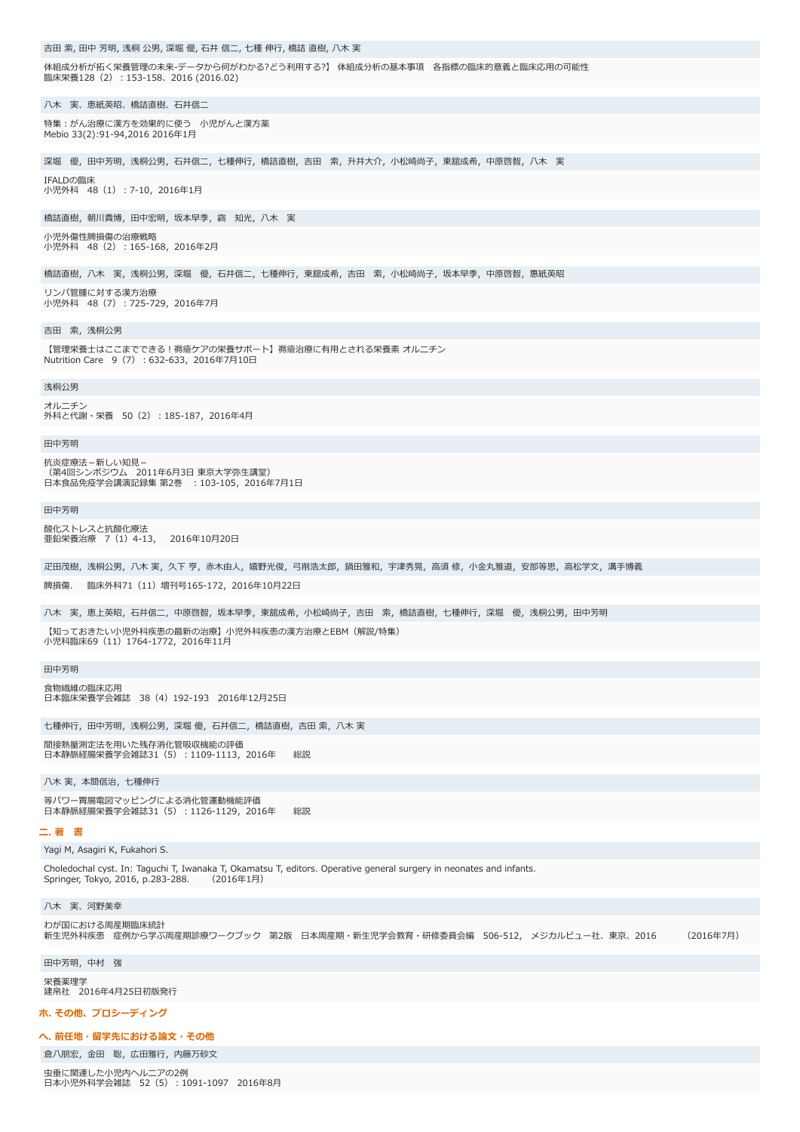| 吉田 索, 田中 芳明, 浅桐 公男, 深堀 優, 石井 信二, 七種 伸行, 橋詰 直樹, 八木 実                                                                                                                                                     |
|---------------------------------------------------------------------------------------------------------------------------------------------------------------------------------------------------------|
| 体組成分析が拓く栄養管理の未来-データから何がわかる?どう利用する?】 体組成分析の基本事項 各指標の臨床的意義と臨床応用の可能性<br>臨床栄養128(2):153-158、2016 (2016.02)                                                                                                  |
| 八木 実、恵紙英昭、橋詰直樹、石井信二                                                                                                                                                                                     |
| 特集:がん治療に漢方を効果的に使う 小児がんと漢方薬<br>Mebio 33(2):91-94,2016 2016年1月                                                                                                                                            |
| 深堀 優,田中芳明,浅桐公男,石井信二,七種伸行,橋詰直樹,吉田 索,升井大介,小松崎尚子,東舘成希,中原啓智,八木 実                                                                                                                                            |
| IFALDの臨床<br>小児外科 48(1):7-10,2016年1月                                                                                                                                                                     |
| 橋詰直樹,朝川貴博,田中宏明,坂本早季,靍 知光,八木 実                                                                                                                                                                           |
| 小児外傷性脾損傷の治療戦略<br>小児外科 48(2):165-168,2016年2月                                                                                                                                                             |
| 橋詰直樹,八木 実,浅桐公男,深堀 優,石井信二,七種伸行,東舘成希,吉田 索,小松崎尚子,坂本早季,中原啓智,惠紙英昭                                                                                                                                            |
| リンパ管腫に対する漢方治療<br>小児外科 48(7):725-729,2016年7月                                                                                                                                                             |
| 吉田 索,浅桐公男                                                                                                                                                                                               |
| 【管理栄養士はここまでできる!褥瘡ケアの栄養サポート】褥瘡治療に有用とされる栄養素 オルニチン<br>Nutrition Care 9 (7) : 632-633, 2016年7月10日                                                                                                           |
| 浅桐公男                                                                                                                                                                                                    |
| オルニチン<br>外科と代謝・栄養 50(2):185-187,2016年4月                                                                                                                                                                 |
| 田中芳明                                                                                                                                                                                                    |
| 抗炎症療法-新しい知見-<br>(第4回シンボジウム 2011年6月3日 東京大学弥生講堂)<br>日本食品免疫学会講演記録集 第2巻 :103-105,2016年7月1日                                                                                                                  |
| 田中芳明                                                                                                                                                                                                    |
| 酸化ストレスと抗酸化療法<br>亜鉛栄養治療 7 (1) 4-13, 2016年10月20日                                                                                                                                                          |
| 疋田茂樹,浅桐公男,八木 実,久下 亨,赤木由人,嬉野光俊,弓削浩太郎,鍋田雅和,宇津秀晃,高須 修,小金丸雅道,安部等思,高松学文,溝手博義                                                                                                                                 |
| 脾損傷.<br>臨床外科71(11)増刊号165-172,2016年10月22日                                                                                                                                                                |
| · 八木 実,恵上英昭,石井信二,中原啓智,坂本早季,東舘成希,小松崎尚子,吉田 索,橋詰直樹,七種伸行,深堀 優,浅桐公男,田中芳明                                                                                                                                     |
| 【知っておきたい小児外科疾患の最新の治療】 小児外科疾患の漢方治療とEBM(解説/特集)<br>小児科臨床69 (11) 1764-1772, 2016年11月                                                                                                                        |
| 田中芳明                                                                                                                                                                                                    |
| 食物繊維の臨床応用<br>日本臨床栄養学会雑誌 38(4)192-193 2016年12月25日                                                                                                                                                        |
|                                                                                                                                                                                                         |
| 七種伸行,田中芳明,浅桐公男,深堀 優,石井信二,橋詰直樹,吉田 索,八木 実<br>間接熱量測定法を用いた残存消化管吸収機能の評価<br>日本静脈経腸栄養学会雑誌31(5):1109-1113,2016年<br>総説                                                                                           |
|                                                                                                                                                                                                         |
| 八木 実,本間信治,七種伸行<br>等パワー胃腸電図マッピングによる消化管運動機能評価                                                                                                                                                             |
| 日本静脈経腸栄養学会雑誌31(5):1126-1129,2016年<br>総説                                                                                                                                                                 |
| 二. 著 書                                                                                                                                                                                                  |
| Yagi M, Asagiri K, Fukahori S.<br>Choledochal cyst. In: Taguchi T, Iwanaka T, Okamatsu T, editors. Operative general surgery in neonates and infants.<br>Springer, Tokyo, 2016, p.283-288.<br>(2016年1月) |
| 八木実、河野美幸                                                                                                                                                                                                |
| わが国における周産期臨床統計<br>新生児外科疾患 症例から学ぶ周産期診療ワークブック 第2版 日本周産期・新生児学会教育・研修委員会編 506-512, メジカルビュー社、東京、2016<br>(2016年7月)                                                                                             |
| 田中芳明, 中村 強                                                                                                                                                                                              |
| 栄養薬理学<br>建帛社 2016年4月25日初版発行                                                                                                                                                                             |
| ホ. その他、 プロシーディング                                                                                                                                                                                        |
| へ. 前任地・留学先における論文・その他                                                                                                                                                                                    |
| 倉八朋宏,金田 聡,広田雅行,内藤万砂文                                                                                                                                                                                    |
| 虫垂に関連した小児内ヘルニアの2例<br>日本小児外科学会雑誌 52(5):1091-1097 2016年8月                                                                                                                                                 |